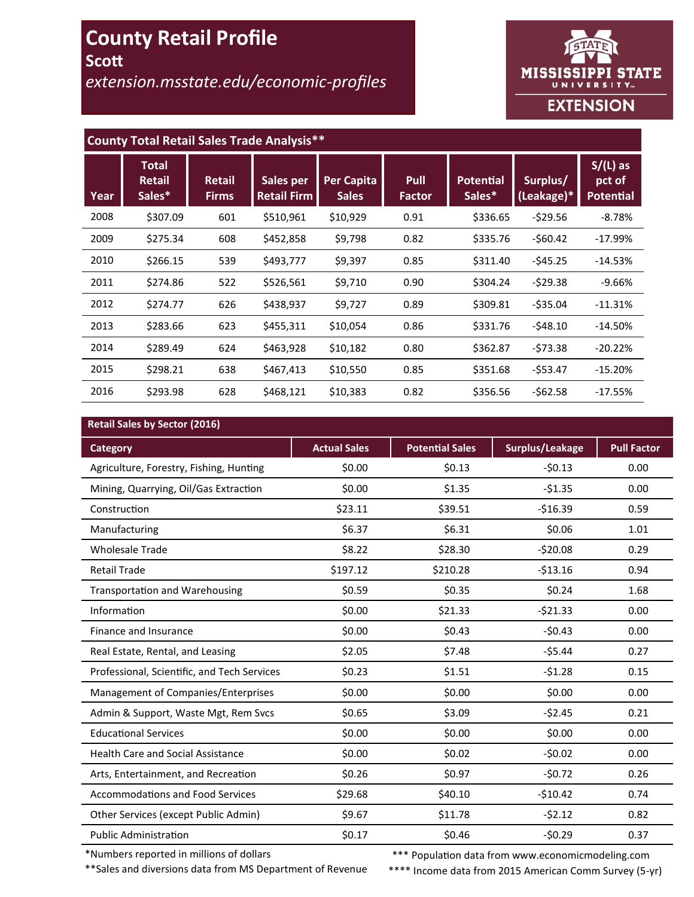# **County Retail Profile Scott**

*extension.msstate.edu/economic-profiles*



# **County Total Retail Sales Trade Analysis\*\***

| Year | <b>Total</b><br><b>Retail</b><br>Sales* | <b>Retail</b><br><b>Firms</b> | Sales per<br><b>Retail Firm</b> | <b>Per Capita</b><br><b>Sales</b> | <b>Pull</b><br><b>Factor</b> | <b>Potential</b><br>Sales* | Surplus/<br>(Leakage)* | $S/(L)$ as<br>pct of<br><b>Potential</b> |
|------|-----------------------------------------|-------------------------------|---------------------------------|-----------------------------------|------------------------------|----------------------------|------------------------|------------------------------------------|
| 2008 | \$307.09                                | 601                           | \$510,961                       | \$10,929                          | 0.91                         | \$336.65                   | $-529.56$              | $-8.78%$                                 |
| 2009 | \$275.34                                | 608                           | \$452,858                       | \$9,798                           | 0.82                         | \$335.76                   | $-$60.42$              | $-17.99%$                                |
| 2010 | \$266.15                                | 539                           | \$493,777                       | \$9,397                           | 0.85                         | \$311.40                   | $-545.25$              | $-14.53%$                                |
| 2011 | \$274.86                                | 522                           | \$526,561                       | \$9,710                           | 0.90                         | \$304.24                   | $-529.38$              | $-9.66%$                                 |
| 2012 | \$274.77                                | 626                           | \$438,937                       | \$9,727                           | 0.89                         | \$309.81                   | $-$ \$35.04            | $-11.31%$                                |
| 2013 | \$283.66                                | 623                           | \$455,311                       | \$10,054                          | 0.86                         | \$331.76                   | $-548.10$              | $-14.50%$                                |
| 2014 | \$289.49                                | 624                           | \$463,928                       | \$10,182                          | 0.80                         | \$362.87                   | $-573.38$              | $-20.22%$                                |
| 2015 | \$298.21                                | 638                           | \$467,413                       | \$10,550                          | 0.85                         | \$351.68                   | $-553.47$              | $-15.20%$                                |
| 2016 | \$293.98                                | 628                           | \$468,121                       | \$10,383                          | 0.82                         | \$356.56                   | $-562.58$              | $-17.55%$                                |

# **Retail Sales by Sector (2016)**

| $m$ ctan bancs by scetter (E010)            |                     |                        |                 |                    |
|---------------------------------------------|---------------------|------------------------|-----------------|--------------------|
| <b>Category</b>                             | <b>Actual Sales</b> | <b>Potential Sales</b> | Surplus/Leakage | <b>Pull Factor</b> |
| Agriculture, Forestry, Fishing, Hunting     | \$0.00              | \$0.13                 | $-50.13$        | 0.00               |
| Mining, Quarrying, Oil/Gas Extraction       | \$0.00              | \$1.35                 | $-51.35$        | 0.00               |
| Construction                                | \$23.11             | \$39.51                | $-516.39$       | 0.59               |
| Manufacturing                               | \$6.37              | \$6.31                 | \$0.06          | 1.01               |
| <b>Wholesale Trade</b>                      | \$8.22              | \$28.30                | $-520.08$       | 0.29               |
| <b>Retail Trade</b>                         | \$197.12            | \$210.28               | $-513.16$       | 0.94               |
| <b>Transportation and Warehousing</b>       | \$0.59              | \$0.35                 | \$0.24          | 1.68               |
| Information                                 | \$0.00              | \$21.33                | $-521.33$       | 0.00               |
| Finance and Insurance                       | \$0.00              | \$0.43                 | $-50.43$        | 0.00               |
| Real Estate, Rental, and Leasing            | \$2.05              | \$7.48                 | $-55.44$        | 0.27               |
| Professional, Scientific, and Tech Services | \$0.23              | \$1.51                 | $-51.28$        | 0.15               |
| Management of Companies/Enterprises         | \$0.00              | \$0.00                 | \$0.00          | 0.00               |
| Admin & Support, Waste Mgt, Rem Svcs        | \$0.65              | \$3.09                 | $-52.45$        | 0.21               |
| <b>Educational Services</b>                 | \$0.00              | \$0.00                 | \$0.00          | 0.00               |
| <b>Health Care and Social Assistance</b>    | \$0.00              | \$0.02                 | $-50.02$        | 0.00               |
| Arts, Entertainment, and Recreation         | \$0.26              | \$0.97                 | $-50.72$        | 0.26               |
| <b>Accommodations and Food Services</b>     | \$29.68             | \$40.10                | $-510.42$       | 0.74               |
| Other Services (except Public Admin)        | \$9.67              | \$11.78                | $-52.12$        | 0.82               |
| <b>Public Administration</b>                | \$0.17              | \$0.46                 | $-50.29$        | 0.37               |

\*Numbers reported in millions of dollars

\*\*Sales and diversions data from MS Department of Revenue

\*\*\* Population data from www.economicmodeling.com

\*\*\*\* Income data from 2015 American Comm Survey (5-yr)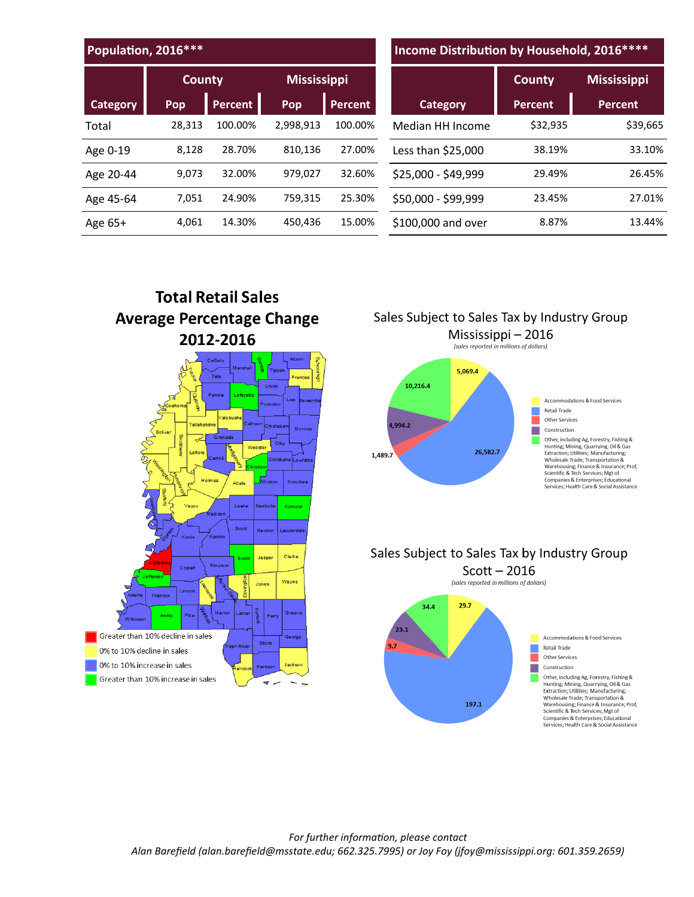| Population, 2016 *** |        |                |                    |         | Income Distribution by Household, 2016 **** |                |                    |  |
|----------------------|--------|----------------|--------------------|---------|---------------------------------------------|----------------|--------------------|--|
|                      | County |                | <b>Mississippi</b> |         |                                             | <b>County</b>  | <b>Mississippi</b> |  |
| <b>Category</b>      | Pop    | <b>Percent</b> | Pop                | Percent | <b>Category</b>                             | <b>Percent</b> | <b>Percent</b>     |  |
| Total                | 28.313 | 100.00%        | 2,998,913          | 100.00% | Median HH Income                            | \$32,935       | \$39,665           |  |
| Age 0-19             | 8,128  | 28.70%         | 810,136            | 27.00%  | Less than \$25,000                          | 38.19%         | 33.10%             |  |
| Age 20-44            | 9.073  | 32.00%         | 979,027            | 32.60%  | \$25,000 - \$49,999                         | 29.49%         | 26.45%             |  |
| Age 45-64            | 7.051  | 24.90%         | 759,315            | 25.30%  | \$50,000 - \$99,999                         | 23.45%         | 27.01%             |  |
| Age $65+$            | 4,061  | 14.30%         | 450,436            | 15.00%  | \$100,000 and over                          | 8.87%          | 13.44%             |  |



Sales Subject to Sales Tax by Industry Group



# Sales Subject to Sales Tax by Industry Group Scott  $-2016$ (sales reported in millions of dollars)

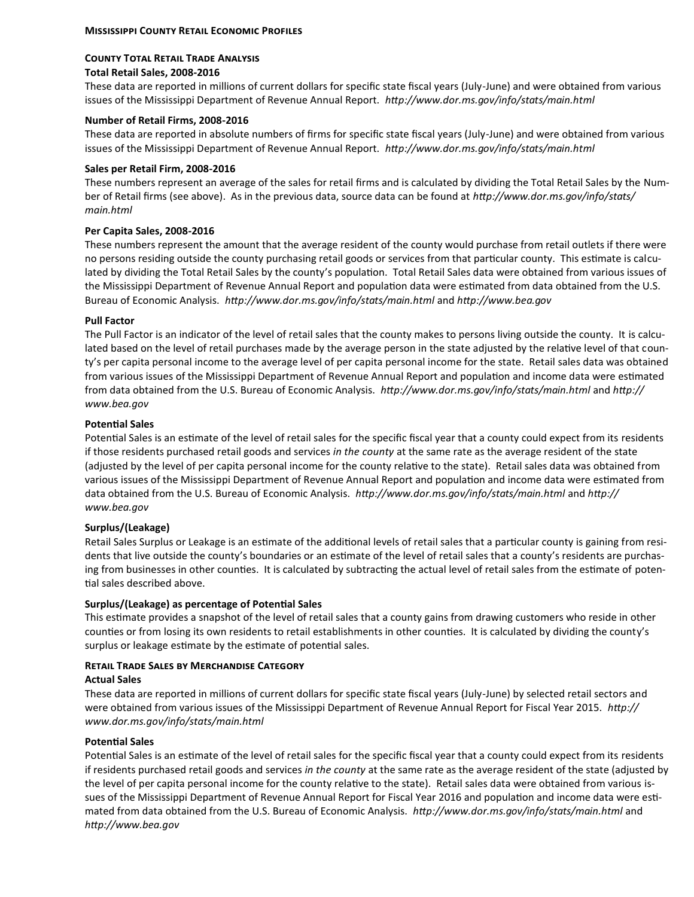#### **County Total Retail Trade Analysis Total Retail Sales, 2008-2016**

These data are reported in millions of current dollars for specific state fiscal years (July-June) and were obtained from various issues of the Mississippi Department of Revenue Annual Report. *http://www.dor.ms.gov/info/stats/main.html*

# **Number of Retail Firms, 2008-2016**

These data are reported in absolute numbers of firms for specific state fiscal years (July-June) and were obtained from various issues of the Mississippi Department of Revenue Annual Report. *http://www.dor.ms.gov/info/stats/main.html*

# **Sales per Retail Firm, 2008-2016**

These numbers represent an average of the sales for retail firms and is calculated by dividing the Total Retail Sales by the Number of Retail firms (see above). As in the previous data, source data can be found at *http://www.dor.ms.gov/info/stats/ main.html*

# **Per Capita Sales, 2008-2016**

These numbers represent the amount that the average resident of the county would purchase from retail outlets if there were no persons residing outside the county purchasing retail goods or services from that particular county. This estimate is calculated by dividing the Total Retail Sales by the county's population. Total Retail Sales data were obtained from various issues of the Mississippi Department of Revenue Annual Report and population data were estimated from data obtained from the U.S. Bureau of Economic Analysis. *http://www.dor.ms.gov/info/stats/main.html* and *http://www.bea.gov* 

# **Pull Factor**

The Pull Factor is an indicator of the level of retail sales that the county makes to persons living outside the county. It is calculated based on the level of retail purchases made by the average person in the state adjusted by the relative level of that county's per capita personal income to the average level of per capita personal income for the state. Retail sales data was obtained from various issues of the Mississippi Department of Revenue Annual Report and population and income data were estimated from data obtained from the U.S. Bureau of Economic Analysis. *http://www.dor.ms.gov/info/stats/main.html* and *http:// www.bea.gov*

# **Potential Sales**

Potential Sales is an estimate of the level of retail sales for the specific fiscal year that a county could expect from its residents if those residents purchased retail goods and services *in the county* at the same rate as the average resident of the state (adjusted by the level of per capita personal income for the county relative to the state). Retail sales data was obtained from various issues of the Mississippi Department of Revenue Annual Report and population and income data were estimated from data obtained from the U.S. Bureau of Economic Analysis. *http://www.dor.ms.gov/info/stats/main.html* and *http:// www.bea.gov*

# **Surplus/(Leakage)**

Retail Sales Surplus or Leakage is an estimate of the additional levels of retail sales that a particular county is gaining from residents that live outside the county's boundaries or an estimate of the level of retail sales that a county's residents are purchasing from businesses in other counties. It is calculated by subtracting the actual level of retail sales from the estimate of potential sales described above.

# **Surplus/(Leakage) as percentage of Potential Sales**

This estimate provides a snapshot of the level of retail sales that a county gains from drawing customers who reside in other counties or from losing its own residents to retail establishments in other counties. It is calculated by dividing the county's surplus or leakage estimate by the estimate of potential sales.

#### **Retail Trade Sales by Merchandise Category**

#### **Actual Sales**

These data are reported in millions of current dollars for specific state fiscal years (July-June) by selected retail sectors and were obtained from various issues of the Mississippi Department of Revenue Annual Report for Fiscal Year 2015. *http:// www.dor.ms.gov/info/stats/main.html*

#### **Potential Sales**

Potential Sales is an estimate of the level of retail sales for the specific fiscal year that a county could expect from its residents if residents purchased retail goods and services *in the county* at the same rate as the average resident of the state (adjusted by the level of per capita personal income for the county relative to the state). Retail sales data were obtained from various issues of the Mississippi Department of Revenue Annual Report for Fiscal Year 2016 and population and income data were estimated from data obtained from the U.S. Bureau of Economic Analysis. *http://www.dor.ms.gov/info/stats/main.html* and *http://www.bea.gov*